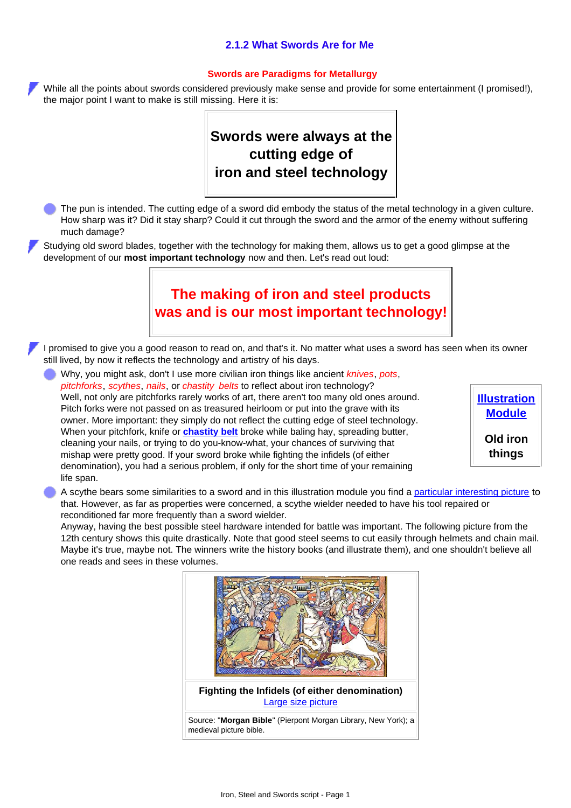### **2.1.2 What Swords Are for Me**

#### **Swords are Paradigms for Metallurgy**

While all the points about swords considered previously make sense and provide for some entertainment (I promised!), the major point I want to make is still missing. Here it is:

# **Swords were always at the cutting edge of iron and steel technology**

The pun is intended. The cutting edge of a sword did embody the status of the metal technology in a given culture. How sharp was it? Did it stay sharp? Could it cut through the sword and the armor of the enemy without suffering much damage?

Studying old sword blades, together with the technology for making them, allows us to get a good glimpse at the development of our **most important technology** now and then. Let's read out loud:

### **The making of iron and steel products was and is our most important technology!**

I promised to give you a good reason to read on, and that's it. No matter what uses a sword has seen when its owner still lived, by now it reflects the technology and artistry of his days.

Why, you might ask, don't I use more civilian iron things like ancient *knives*, *pots*, *pitchforks*, *scythes*, *nails*, or *chastity belts* to reflect about iron technology? Well, not only are pitchforks rarely works of art, there aren't too many old ones around. Pitch forks were not passed on as treasured heirloom or put into the grave with its owner. More important: they simply do not reflect the cutting edge of steel technology. When your pitchfork, knife or **[chastity belt](http://www.tf.uni-kiel.de/matwis/amat/iss_dec_15_2021/kap_2/illustr/i2_1_4.html#chastity belt)** broke while baling hay, spreading butter, cleaning your nails, or trying to do you-know-what, your chances of surviving that mishap were pretty good. If your sword broke while fighting the infidels (of either denomination), you had a serious problem, if only for the short time of your remaining life span.

**[Illustration](http://www.tf.uni-kiel.de/matwis/amat/iss_dec_15_2021/kap_2/illustr/i2_1_4.html) [Module](http://www.tf.uni-kiel.de/matwis/amat/iss_dec_15_2021/kap_2/illustr/i2_1_4.html) Old iron**

**things**

A scythe bears some similarities to a sword and in this illustration module you find a [particular interesting picture](http://www.tf.uni-kiel.de/matwis/amat/iss_dec_15_2021/kap_2/illustr/i2_1_4.html#scythe sword) to that. However, as far as properties were concerned, a scythe wielder needed to have his tool repaired or reconditioned far more frequently than a sword wielder.

Anyway, having the best possible steel hardware intended for battle was important. The following picture from the 12th century shows this quite drastically. Note that good steel seems to cut easily through helmets and chain mail. Maybe it's true, maybe not. The winners write the history books (and illustrate them), and one shouldn't believe all one reads and sees in these volumes.

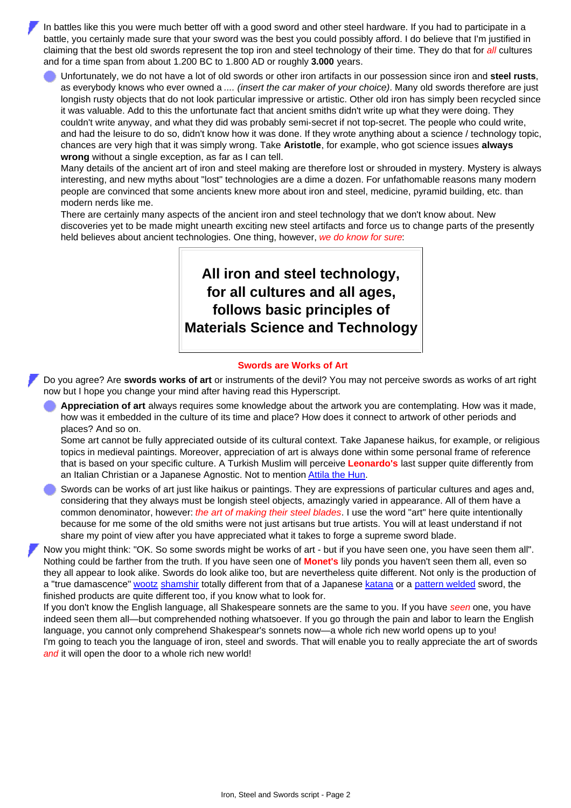In battles like this you were much better off with a good sword and other steel hardware. If you had to participate in a battle, you certainly made sure that your sword was the best you could possibly afford. I do believe that I'm justified in claiming that the best old swords represent the top iron and steel technology of their time. They do that for *all* cultures and for a time span from about 1.200 BC to 1.800 AD or roughly **3.000** years.

Unfortunately, we do not have a lot of old swords or other iron artifacts in our possession since iron and **steel rusts**, as everybody knows who ever owned a *.... (insert the car maker of your choice)*. Many old swords therefore are just longish rusty objects that do not look particular impressive or artistic. Other old iron has simply been recycled since it was valuable. Add to this the unfortunate fact that ancient smiths didn't write up what they were doing. They couldn't write anyway, and what they did was probably semi-secret if not top-secret. The people who could write, and had the leisure to do so, didn't know how it was done. If they wrote anything about a science / technology topic, chances are very high that it was simply wrong. Take **Aristotle**, for example, who got science issues **always wrong** without a single exception, as far as I can tell.

Many details of the ancient art of iron and steel making are therefore lost or shrouded in mystery. Mystery is always interesting, and new myths about "lost" technologies are a dime a dozen. For unfathomable reasons many modern people are convinced that some ancients knew more about iron and steel, medicine, pyramid building, etc. than modern nerds like me.

There are certainly many aspects of the ancient iron and steel technology that we don't know about. New discoveries yet to be made might unearth exciting new steel artifacts and force us to change parts of the presently held believes about ancient technologies. One thing, however, *we do know for sure*:

## **All iron and steel technology, for all cultures and all ages, follows basic principles of Materials Science and Technology**

#### **Swords are Works of Art**

Do you agree? Are **swords works of art** or instruments of the devil? You may not perceive swords as works of art right now but I hope you change your mind after having read this Hyperscript.

**Appreciation of art** always requires some knowledge about the artwork you are contemplating. How was it made, how was it embedded in the culture of its time and place? How does it connect to artwork of other periods and places? And so on.

Some art cannot be fully appreciated outside of its cultural context. Take Japanese haikus, for example, or religious topics in medieval paintings. Moreover, appreciation of art is always done within some personal frame of reference that is based on your specific culture. A Turkish Muslim will perceive **Leonardo's** last supper quite differently from an Italian Christian or a Japanese Agnostic. Not to mention [Attila the Hun.](http://www.tf.uni-kiel.de/matwis/amat/iss_dec_15_2021/kap_2/advanced/t2_1_2.html#askeri museum; istanbul)

Swords can be works of art just like haikus or paintings. They are expressions of particular cultures and ages and, considering that they always must be longish steel objects, amazingly varied in appearance. All of them have a common denominator, however: *the art of making their steel blades*. I use the word "art" here quite intentionally because for me some of the old smiths were not just artisans but true artists. You will at least understand if not share my point of view after you have appreciated what it takes to forge a supreme sword blade.

Now you might think: "OK. So some swords might be works of art - but if you have seen one, you have seen them all". Nothing could be farther from the truth. If you have seen one of **Monet's** lily ponds you haven't seen them all, even so they all appear to look alike. Swords do look alike too, but are nevertheless quite different. Not only is the production of a "true damascence" [wootz](http://www.tf.uni-kiel.de/matwis/amat/iss_dec_15_2021/kap_b/backbone/rb_5_1.html) [shamshir](http://www.tf.uni-kiel.de/matwis/amat/iss_dec_15_2021/kap_1/basics/b1_1_3.html#samshir; definition) totally different from that of a Japanese [katana](http://www.tf.uni-kiel.de/matwis/amat/iss_dec_15_2021/kap_1/basics/b1_1_3.html#katana; definition) or a [pattern welded](http://www.tf.uni-kiel.de/matwis/amat/iss_dec_15_2021/kap_b/backbone/rb_3_1.html) sword, the finished products are quite different too, if you know what to look for.

If you don't know the English language, all Shakespeare sonnets are the same to you. If you have *seen* one, you have indeed seen them all—but comprehended nothing whatsoever. If you go through the pain and labor to learn the English language, you cannot only comprehend Shakespear's sonnets now—a whole rich new world opens up to you! I'm going to teach you the language of iron, steel and swords. That will enable you to really appreciate the art of swords *and* it will open the door to a whole rich new world!